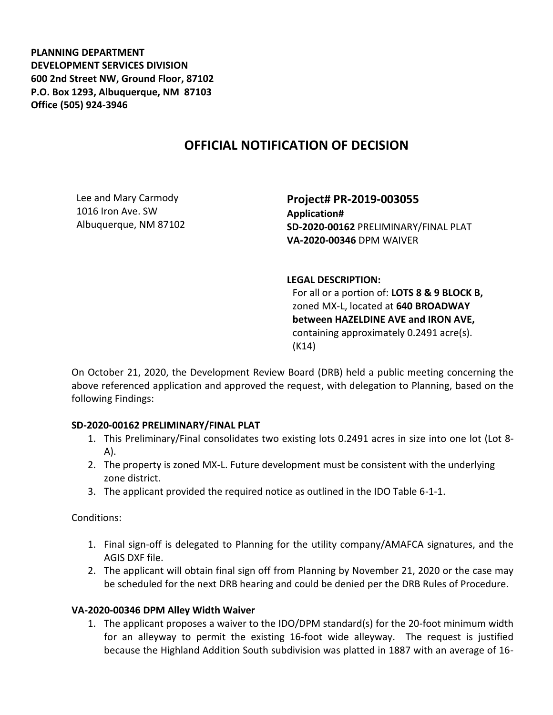**PLANNING DEPARTMENT DEVELOPMENT SERVICES DIVISION 600 2nd Street NW, Ground Floor, 87102 P.O. Box 1293, Albuquerque, NM 87103 Office (505) 924-3946** 

## **OFFICIAL NOTIFICATION OF DECISION**

Lee and Mary Carmody 1016 Iron Ave. SW Albuquerque, NM 87102

**Project# PR-2019-003055 Application# SD-2020-00162** PRELIMINARY/FINAL PLAT **VA-2020-00346** DPM WAIVER

## **LEGAL DESCRIPTION:**

For all or a portion of: **LOTS 8 & 9 BLOCK B,**  zoned MX-L, located at **640 BROADWAY between HAZELDINE AVE and IRON AVE,**  containing approximately 0.2491 acre(s). (K14)

On October 21, 2020, the Development Review Board (DRB) held a public meeting concerning the above referenced application and approved the request, with delegation to Planning, based on the following Findings:

## **SD-2020-00162 PRELIMINARY/FINAL PLAT**

- 1. This Preliminary/Final consolidates two existing lots 0.2491 acres in size into one lot (Lot 8- A).
- 2. The property is zoned MX-L. Future development must be consistent with the underlying zone district.
- 3. The applicant provided the required notice as outlined in the IDO Table 6-1-1.

Conditions:

- 1. Final sign-off is delegated to Planning for the utility company/AMAFCA signatures, and the AGIS DXF file.
- 2. The applicant will obtain final sign off from Planning by November 21, 2020 or the case may be scheduled for the next DRB hearing and could be denied per the DRB Rules of Procedure.

## **VA-2020-00346 DPM Alley Width Waiver**

1. The applicant proposes a waiver to the IDO/DPM standard(s) for the 20-foot minimum width for an alleyway to permit the existing 16-foot wide alleyway. The request is justified because the Highland Addition South subdivision was platted in 1887 with an average of 16